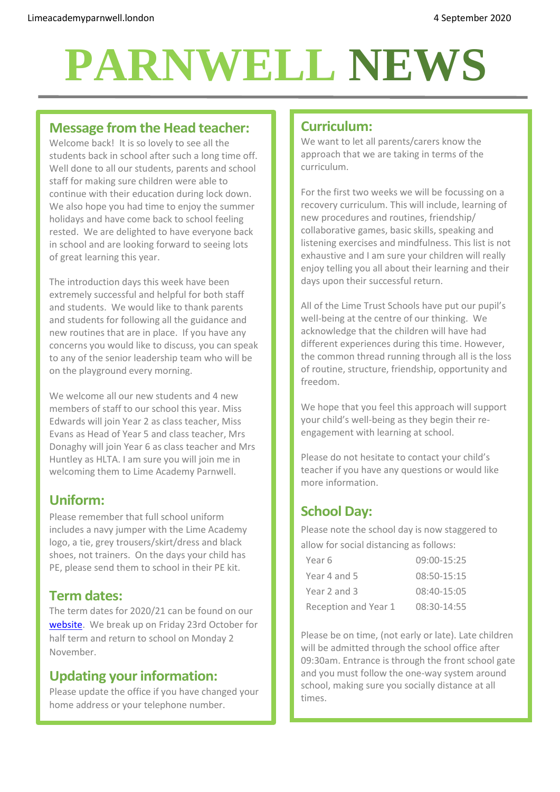# **PARNWELL NEWS**

# **Message from the Head teacher:**

Welcome back! It is so lovely to see all the students back in school after such a long time off. Well done to all our students, parents and school staff for making sure children were able to continue with their education during lock down. We also hope you had time to enjoy the summer holidays and have come back to school feeling rested. We are delighted to have everyone back in school and are looking forward to seeing lots of great learning this year.

The introduction days this week have been extremely successful and helpful for both staff and students. We would like to thank parents and students for following all the guidance and new routines that are in place. If you have any concerns you would like to discuss, you can speak to any of the senior leadership team who will be on the playground every morning.

We welcome all our new students and 4 new members of staff to our school this year. Miss Edwards will join Year 2 as class teacher, Miss Evans as Head of Year 5 and class teacher, Mrs Donaghy will join Year 6 as class teacher and Mrs Huntley as HLTA. I am sure you will join me in welcoming them to Lime Academy Parnwell.

# **Uniform:**

Please remember that full school uniform includes a navy jumper with the Lime Academy logo, a tie, grey trousers/skirt/dress and black shoes, not trainers. On the days your child has PE, please send them to school in their PE kit.

## **Term dates:**

The term dates for 2020/21 can be found on our [website.](http://limeacademyparnwell.london/useful-information/2020-2021-term-dates/) We break up on Friday 23rd October for half term and return to school on Monday 2 November.

# **Updating your information:**

Please update the office if you have changed your home address or your telephone number.

## **Curriculum:**

We want to let all parents/carers know the approach that we are taking in terms of the curriculum.

For the first two weeks we will be focussing on a recovery curriculum. This will include, learning of new procedures and routines, friendship/ collaborative games, basic skills, speaking and listening exercises and mindfulness. This list is not exhaustive and I am sure your children will really enjoy telling you all about their learning and their days upon their successful return.

All of the Lime Trust Schools have put our pupil's well-being at the centre of our thinking. We acknowledge that the children will have had different experiences during this time. However, the common thread running through all is the loss of routine, structure, friendship, opportunity and freedom.

We hope that you feel this approach will support your child's well-being as they begin their reengagement with learning at school.

Please do not hesitate to contact your child's teacher if you have any questions or would like more information.

# **School Day:**

Please note the school day is now staggered to allow for social distancing as follows:

| Year 6               | $09:00 - 15:25$ |
|----------------------|-----------------|
| Year 4 and 5         | $08:50-15:15$   |
| Year 2 and 3         | 08:40-15:05     |
| Reception and Year 1 | 08:30-14:55     |

Please be on time, (not early or late). Late children will be admitted through the school office after 09:30am. Entrance is through the front school gate and you must follow the one-way system around school, making sure you socially distance at all times.